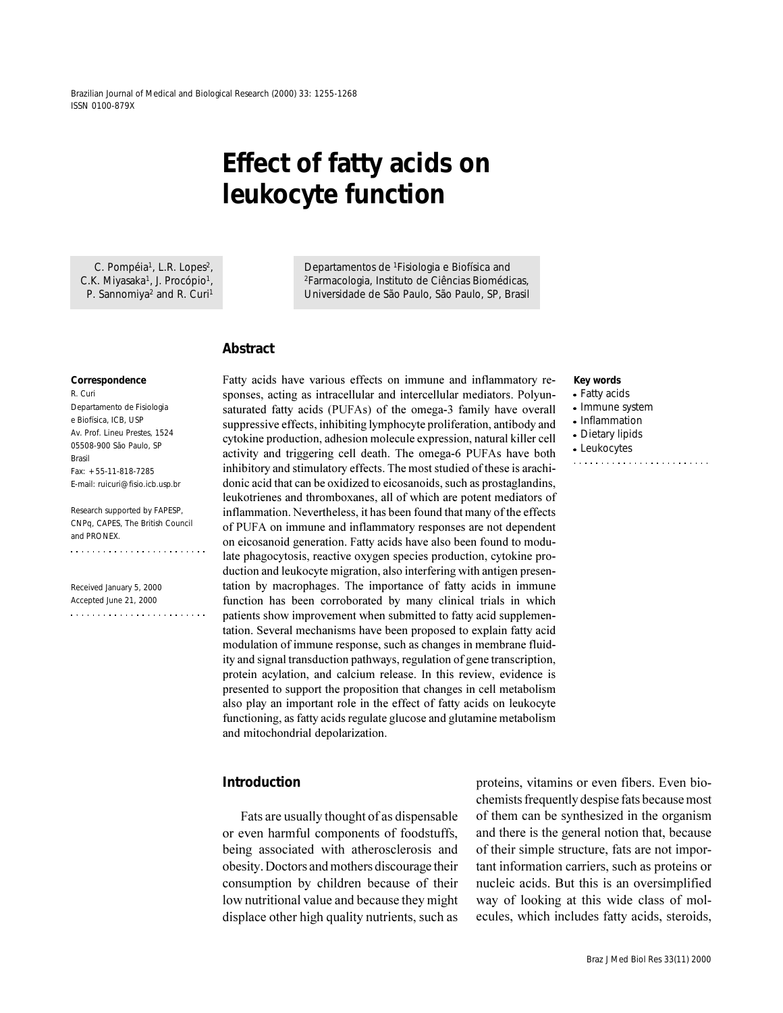Brazilian Journal of Medical and Biological Research (2000) 33: 1255-1268 ISSN 0100-879X

# **Effect of fatty acids on leukocyte function**

C. Pompéia<sup>1</sup>, L.R. Lopes<sup>2</sup>, C.K. Miyasaka<sup>1</sup>, J. Procópio<sup>1</sup>, P. Sannomiya<sup>2</sup> and R. Curi<sup>1</sup>

Departamentos de 1Fisiologia e Biofísica and 2Farmacologia, Instituto de Ciências Biomédicas, Universidade de São Paulo, São Paulo, SP, Brasil

## **Abstract**

#### **Correspondence**

R. Curi Departamento de Fisiologia e Biofísica, ICB, USP Av. Prof. Lineu Prestes, 1524 05508-900 São Paulo, SP Brasil Fax: +55-11-818-7285 E-mail: ruicuri@fisio.icb.usp.br

Research supported by FAPESP, CNPq, CAPES, The British Council and PRONEX. 

Received January 5, 2000 Accepted June 21, 2000  **Key words** · Fatty acids

- · Immune system
- · Inflammation
- · Dietary lipids
- · Leukocytes

Fatty acids have various effects on immune and inflammatory responses, acting as intracellular and intercellular mediators. Polyunsaturated fatty acids (PUFAs) of the omega-3 family have overall suppressive effects, inhibiting lymphocyte proliferation, antibody and cytokine production, adhesion molecule expression, natural killer cell activity and triggering cell death. The omega-6 PUFAs have both inhibitory and stimulatory effects. The most studied of these is arachidonic acid that can be oxidized to eicosanoids, such as prostaglandins, leukotrienes and thromboxanes, all of which are potent mediators of inflammation. Nevertheless, it has been found that many of the effects of PUFA on immune and inflammatory responses are not dependent on eicosanoid generation. Fatty acids have also been found to modulate phagocytosis, reactive oxygen species production, cytokine production and leukocyte migration, also interfering with antigen presentation by macrophages. The importance of fatty acids in immune function has been corroborated by many clinical trials in which patients show improvement when submitted to fatty acid supplementation. Several mechanisms have been proposed to explain fatty acid modulation of immune response, such as changes in membrane fluidity and signal transduction pathways, regulation of gene transcription, protein acylation, and calcium release. In this review, evidence is presented to support the proposition that changes in cell metabolism also play an important role in the effect of fatty acids on leukocyte functioning, as fatty acids regulate glucose and glutamine metabolism and mitochondrial depolarization.

## **Introduction**

Fats are usually thought of as dispensable or even harmful components of foodstuffs, being associated with atherosclerosis and obesity. Doctors and mothers discourage their consumption by children because of their low nutritional value and because they might displace other high quality nutrients, such as proteins, vitamins or even fibers. Even biochemists frequently despise fats because most of them can be synthesized in the organism and there is the general notion that, because of their simple structure, fats are not important information carriers, such as proteins or nucleic acids. But this is an oversimplified way of looking at this wide class of molecules, which includes fatty acids, steroids,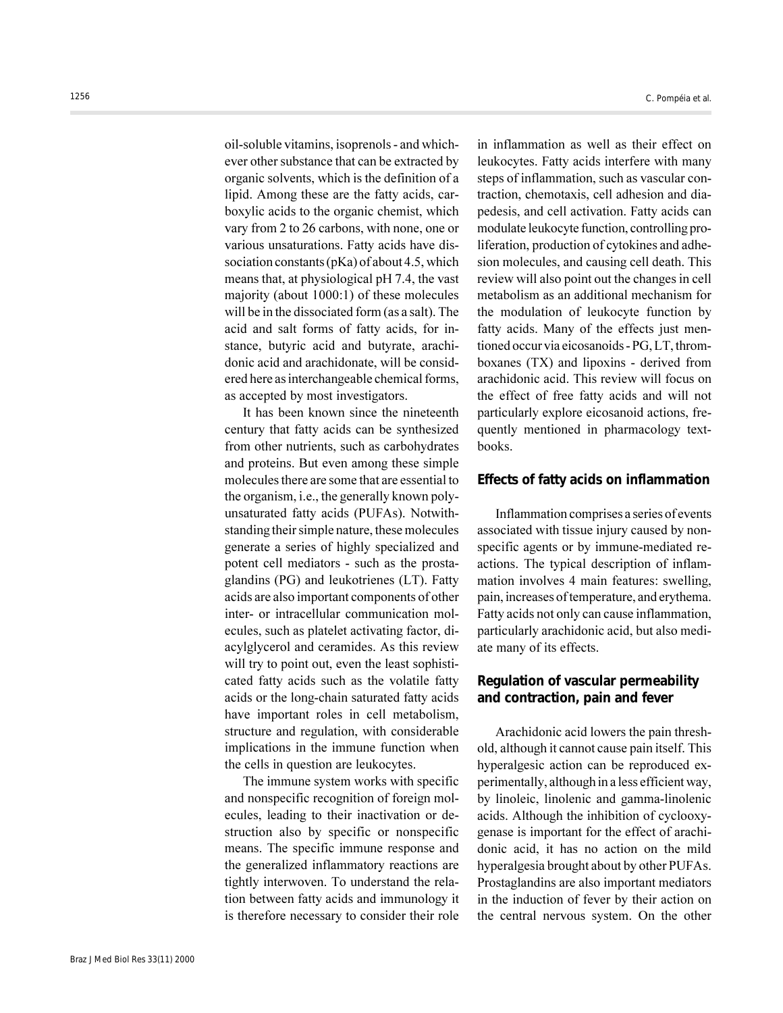oil-soluble vitamins, isoprenols - and whichever other substance that can be extracted by organic solvents, which is the definition of a lipid. Among these are the fatty acids, carboxylic acids to the organic chemist, which vary from 2 to 26 carbons, with none, one or various unsaturations. Fatty acids have dis-

sociation constants (pKa) of about 4.5, which means that, at physiological pH 7.4, the vast majority (about 1000:1) of these molecules will be in the dissociated form (as a salt). The acid and salt forms of fatty acids, for instance, butyric acid and butyrate, arachidonic acid and arachidonate, will be considered here as interchangeable chemical forms, as accepted by most investigators.

It has been known since the nineteenth century that fatty acids can be synthesized from other nutrients, such as carbohydrates and proteins. But even among these simple molecules there are some that are essential to the organism, i.e., the generally known polyunsaturated fatty acids (PUFAs). Notwithstanding their simple nature, these molecules generate a series of highly specialized and potent cell mediators - such as the prostaglandins (PG) and leukotrienes (LT). Fatty acids are also important components of other inter- or intracellular communication molecules, such as platelet activating factor, diacylglycerol and ceramides. As this review will try to point out, even the least sophisticated fatty acids such as the volatile fatty acids or the long-chain saturated fatty acids have important roles in cell metabolism, structure and regulation, with considerable implications in the immune function when the cells in question are leukocytes.

The immune system works with specific and nonspecific recognition of foreign molecules, leading to their inactivation or destruction also by specific or nonspecific means. The specific immune response and the generalized inflammatory reactions are tightly interwoven. To understand the relation between fatty acids and immunology it is therefore necessary to consider their role in inflammation as well as their effect on leukocytes. Fatty acids interfere with many steps of inflammation, such as vascular contraction, chemotaxis, cell adhesion and diapedesis, and cell activation. Fatty acids can modulate leukocyte function, controlling proliferation, production of cytokines and adhesion molecules, and causing cell death. This review will also point out the changes in cell metabolism as an additional mechanism for the modulation of leukocyte function by fatty acids. Many of the effects just mentioned occur via eicosanoids - PG, LT, thromboxanes (TX) and lipoxins - derived from arachidonic acid. This review will focus on the effect of free fatty acids and will not particularly explore eicosanoid actions, frequently mentioned in pharmacology textbooks.

## **Effects of fatty acids on inflammation**

Inflammation comprises a series of events associated with tissue injury caused by nonspecific agents or by immune-mediated reactions. The typical description of inflammation involves 4 main features: swelling, pain, increases of temperature, and erythema. Fatty acids not only can cause inflammation, particularly arachidonic acid, but also mediate many of its effects.

# **Regulation of vascular permeability and contraction, pain and fever**

Arachidonic acid lowers the pain threshold, although it cannot cause pain itself. This hyperalgesic action can be reproduced experimentally, although in a less efficient way, by linoleic, linolenic and gamma-linolenic acids. Although the inhibition of cyclooxygenase is important for the effect of arachidonic acid, it has no action on the mild hyperalgesia brought about by other PUFAs. Prostaglandins are also important mediators in the induction of fever by their action on the central nervous system. On the other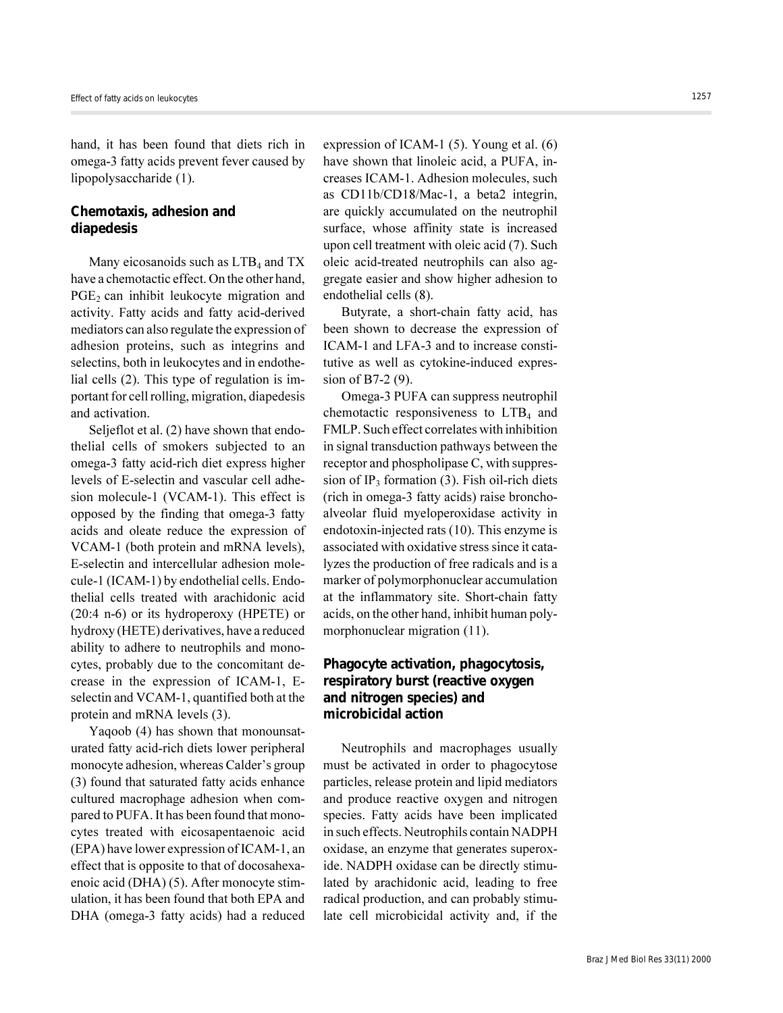hand, it has been found that diets rich in omega-3 fatty acids prevent fever caused by lipopolysaccharide (1).

# **Chemotaxis, adhesion and diapedesis**

Many eicosanoids such as  $LTB<sub>4</sub>$  and TX have a chemotactic effect. On the other hand, PGE<sub>2</sub> can inhibit leukocyte migration and activity. Fatty acids and fatty acid-derived mediators can also regulate the expression of adhesion proteins, such as integrins and selectins, both in leukocytes and in endothelial cells (2). This type of regulation is important for cell rolling, migration, diapedesis and activation.

Seljeflot et al. (2) have shown that endothelial cells of smokers subjected to an omega-3 fatty acid-rich diet express higher levels of E-selectin and vascular cell adhesion molecule-1 (VCAM-1). This effect is opposed by the finding that omega-3 fatty acids and oleate reduce the expression of VCAM-1 (both protein and mRNA levels), E-selectin and intercellular adhesion molecule-1 (ICAM-1) by endothelial cells. Endothelial cells treated with arachidonic acid (20:4 n-6) or its hydroperoxy (HPETE) or hydroxy (HETE) derivatives, have a reduced ability to adhere to neutrophils and monocytes, probably due to the concomitant decrease in the expression of ICAM-1, Eselectin and VCAM-1, quantified both at the protein and mRNA levels (3).

Yaqoob (4) has shown that monounsaturated fatty acid-rich diets lower peripheral monocyte adhesion, whereas Calder's group (3) found that saturated fatty acids enhance cultured macrophage adhesion when compared to PUFA. It has been found that monocytes treated with eicosapentaenoic acid (EPA) have lower expression of ICAM-1, an effect that is opposite to that of docosahexaenoic acid (DHA) (5). After monocyte stimulation, it has been found that both EPA and DHA (omega-3 fatty acids) had a reduced

expression of ICAM-1 (5). Young et al. (6) have shown that linoleic acid, a PUFA, increases ICAM-1. Adhesion molecules, such as CD11b/CD18/Mac-1, a beta2 integrin, are quickly accumulated on the neutrophil surface, whose affinity state is increased upon cell treatment with oleic acid (7). Such oleic acid-treated neutrophils can also aggregate easier and show higher adhesion to endothelial cells (8).

Butyrate, a short-chain fatty acid, has been shown to decrease the expression of ICAM-1 and LFA-3 and to increase constitutive as well as cytokine-induced expression of B7-2 (9).

Omega-3 PUFA can suppress neutrophil chemotactic responsiveness to  $LTB<sub>4</sub>$  and FMLP. Such effect correlates with inhibition in signal transduction pathways between the receptor and phospholipase C, with suppression of IP<sub>3</sub> formation (3). Fish oil-rich diets (rich in omega-3 fatty acids) raise bronchoalveolar fluid myeloperoxidase activity in endotoxin-injected rats (10). This enzyme is associated with oxidative stress since it catalyzes the production of free radicals and is a marker of polymorphonuclear accumulation at the inflammatory site. Short-chain fatty acids, on the other hand, inhibit human polymorphonuclear migration (11).

# **Phagocyte activation, phagocytosis, respiratory burst (reactive oxygen and nitrogen species) and microbicidal action**

Neutrophils and macrophages usually must be activated in order to phagocytose particles, release protein and lipid mediators and produce reactive oxygen and nitrogen species. Fatty acids have been implicated in such effects. Neutrophils contain NADPH oxidase, an enzyme that generates superoxide. NADPH oxidase can be directly stimulated by arachidonic acid, leading to free radical production, and can probably stimulate cell microbicidal activity and, if the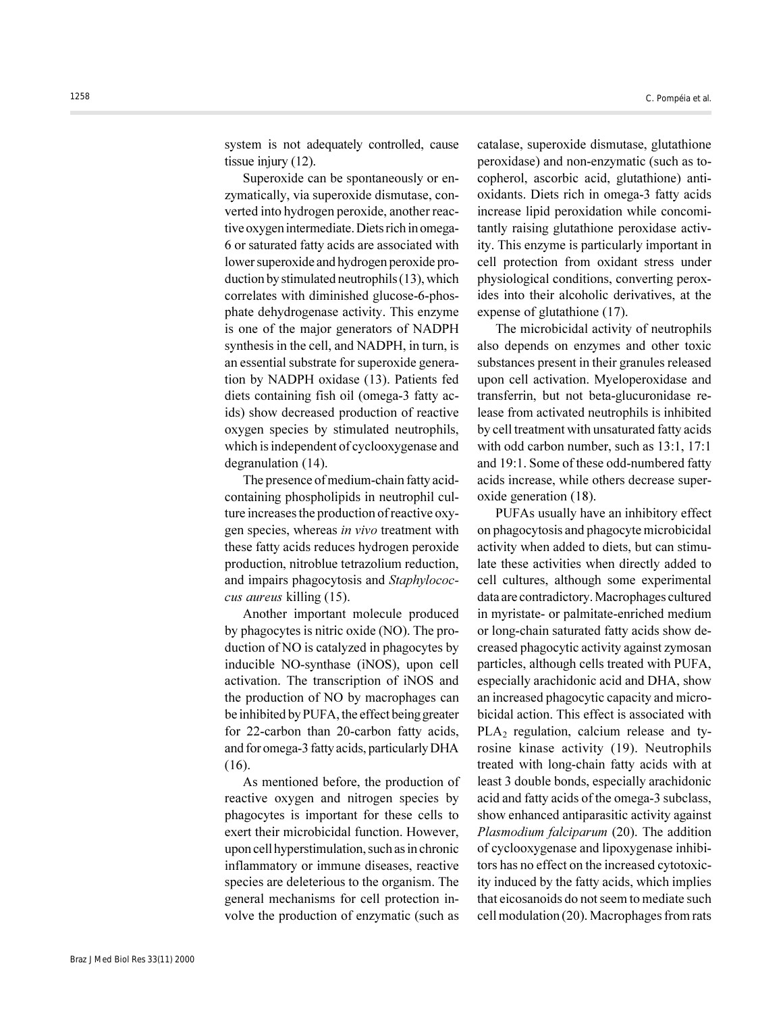system is not adequately controlled, cause tissue injury (12).

Superoxide can be spontaneously or enzymatically, via superoxide dismutase, converted into hydrogen peroxide, another reactive oxygen intermediate. Diets rich in omega-6 or saturated fatty acids are associated with lower superoxide and hydrogen peroxide production by stimulated neutrophils (13), which correlates with diminished glucose-6-phosphate dehydrogenase activity. This enzyme is one of the major generators of NADPH synthesis in the cell, and NADPH, in turn, is an essential substrate for superoxide generation by NADPH oxidase (13). Patients fed diets containing fish oil (omega-3 fatty acids) show decreased production of reactive oxygen species by stimulated neutrophils, which is independent of cyclooxygenase and degranulation (14).

The presence of medium-chain fatty acidcontaining phospholipids in neutrophil culture increases the production of reactive oxygen species, whereas *in vivo* treatment with these fatty acids reduces hydrogen peroxide production, nitroblue tetrazolium reduction, and impairs phagocytosis and *Staphylococcus aureus* killing (15).

Another important molecule produced by phagocytes is nitric oxide (NO). The production of NO is catalyzed in phagocytes by inducible NO-synthase (iNOS), upon cell activation. The transcription of iNOS and the production of NO by macrophages can be inhibited by PUFA, the effect being greater for 22-carbon than 20-carbon fatty acids, and for omega-3 fatty acids, particularly DHA (16).

As mentioned before, the production of reactive oxygen and nitrogen species by phagocytes is important for these cells to exert their microbicidal function. However, upon cell hyperstimulation, such as in chronic inflammatory or immune diseases, reactive species are deleterious to the organism. The general mechanisms for cell protection involve the production of enzymatic (such as

catalase, superoxide dismutase, glutathione peroxidase) and non-enzymatic (such as tocopherol, ascorbic acid, glutathione) antioxidants. Diets rich in omega-3 fatty acids increase lipid peroxidation while concomitantly raising glutathione peroxidase activity. This enzyme is particularly important in cell protection from oxidant stress under physiological conditions, converting peroxides into their alcoholic derivatives, at the expense of glutathione (17).

The microbicidal activity of neutrophils also depends on enzymes and other toxic substances present in their granules released upon cell activation. Myeloperoxidase and transferrin, but not beta-glucuronidase release from activated neutrophils is inhibited by cell treatment with unsaturated fatty acids with odd carbon number, such as 13:1, 17:1 and 19:1. Some of these odd-numbered fatty acids increase, while others decrease superoxide generation (18).

PUFAs usually have an inhibitory effect on phagocytosis and phagocyte microbicidal activity when added to diets, but can stimulate these activities when directly added to cell cultures, although some experimental data are contradictory. Macrophages cultured in myristate- or palmitate-enriched medium or long-chain saturated fatty acids show decreased phagocytic activity against zymosan particles, although cells treated with PUFA, especially arachidonic acid and DHA, show an increased phagocytic capacity and microbicidal action. This effect is associated with  $PLA<sub>2</sub>$  regulation, calcium release and tyrosine kinase activity (19). Neutrophils treated with long-chain fatty acids with at least 3 double bonds, especially arachidonic acid and fatty acids of the omega-3 subclass, show enhanced antiparasitic activity against *Plasmodium falciparum* (20). The addition of cyclooxygenase and lipoxygenase inhibitors has no effect on the increased cytotoxicity induced by the fatty acids, which implies that eicosanoids do not seem to mediate such cell modulation (20). Macrophages from rats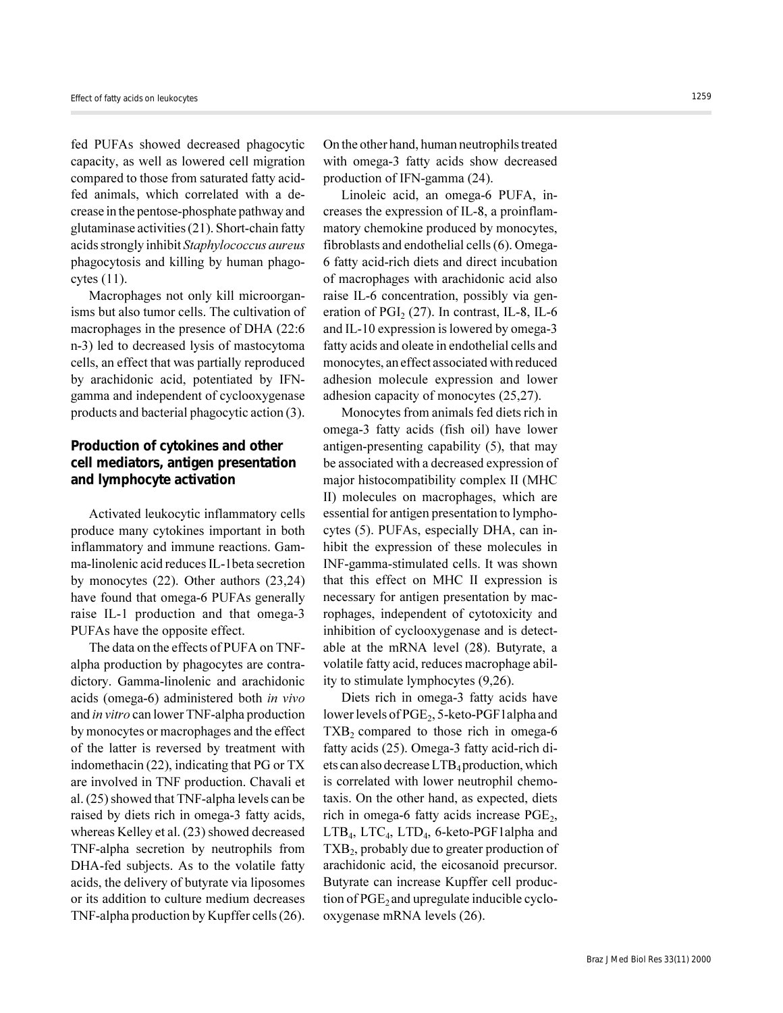fed PUFAs showed decreased phagocytic capacity, as well as lowered cell migration compared to those from saturated fatty acidfed animals, which correlated with a decrease in the pentose-phosphate pathway and glutaminase activities (21). Short-chain fatty acids strongly inhibit *Staphylococcus aureus* phagocytosis and killing by human phagocytes (11).

Macrophages not only kill microorganisms but also tumor cells. The cultivation of macrophages in the presence of DHA (22:6 n-3) led to decreased lysis of mastocytoma cells, an effect that was partially reproduced by arachidonic acid, potentiated by IFNgamma and independent of cyclooxygenase products and bacterial phagocytic action (3).

# **Production of cytokines and other cell mediators, antigen presentation and lymphocyte activation**

Activated leukocytic inflammatory cells produce many cytokines important in both inflammatory and immune reactions. Gamma-linolenic acid reduces IL-1beta secretion by monocytes (22). Other authors (23,24) have found that omega-6 PUFAs generally raise IL-1 production and that omega-3 PUFAs have the opposite effect.

The data on the effects of PUFA on TNFalpha production by phagocytes are contradictory. Gamma-linolenic and arachidonic acids (omega-6) administered both *in vivo* and *in vitro* can lower TNF-alpha production by monocytes or macrophages and the effect of the latter is reversed by treatment with indomethacin (22), indicating that PG or TX are involved in TNF production. Chavali et al. (25) showed that TNF-alpha levels can be raised by diets rich in omega-3 fatty acids, whereas Kelley et al. (23) showed decreased TNF-alpha secretion by neutrophils from DHA-fed subjects. As to the volatile fatty acids, the delivery of butyrate via liposomes or its addition to culture medium decreases TNF-alpha production by Kupffer cells (26).

On the other hand, human neutrophils treated with omega-3 fatty acids show decreased production of IFN-gamma (24).

Linoleic acid, an omega-6 PUFA, increases the expression of IL-8, a proinflammatory chemokine produced by monocytes, fibroblasts and endothelial cells (6). Omega-6 fatty acid-rich diets and direct incubation of macrophages with arachidonic acid also raise IL-6 concentration, possibly via generation of  $PGI<sub>2</sub>$  (27). In contrast, IL-8, IL-6 and IL-10 expression is lowered by omega-3 fatty acids and oleate in endothelial cells and monocytes, an effect associated with reduced adhesion molecule expression and lower adhesion capacity of monocytes (25,27).

Monocytes from animals fed diets rich in omega-3 fatty acids (fish oil) have lower antigen-presenting capability (5), that may be associated with a decreased expression of major histocompatibility complex II (MHC II) molecules on macrophages, which are essential for antigen presentation to lymphocytes (5). PUFAs, especially DHA, can inhibit the expression of these molecules in INF-gamma-stimulated cells. It was shown that this effect on MHC II expression is necessary for antigen presentation by macrophages, independent of cytotoxicity and inhibition of cyclooxygenase and is detectable at the mRNA level (28). Butyrate, a volatile fatty acid, reduces macrophage ability to stimulate lymphocytes (9,26).

Diets rich in omega-3 fatty acids have lower levels of  $PGE<sub>2</sub>$ , 5-keto-PGF1alpha and  $TXB<sub>2</sub>$  compared to those rich in omega-6 fatty acids (25). Omega-3 fatty acid-rich diets can also decrease  $LTB<sub>4</sub>$  production, which is correlated with lower neutrophil chemotaxis. On the other hand, as expected, diets rich in omega-6 fatty acids increase  $PGE<sub>2</sub>$ , LTB<sub>4</sub>, LTC<sub>4</sub>, LTD<sub>4</sub>, 6-keto-PGF1alpha and  $TXB<sub>2</sub>$ , probably due to greater production of arachidonic acid, the eicosanoid precursor. Butyrate can increase Kupffer cell production of  $PGE_2$  and upregulate inducible cyclooxygenase mRNA levels (26).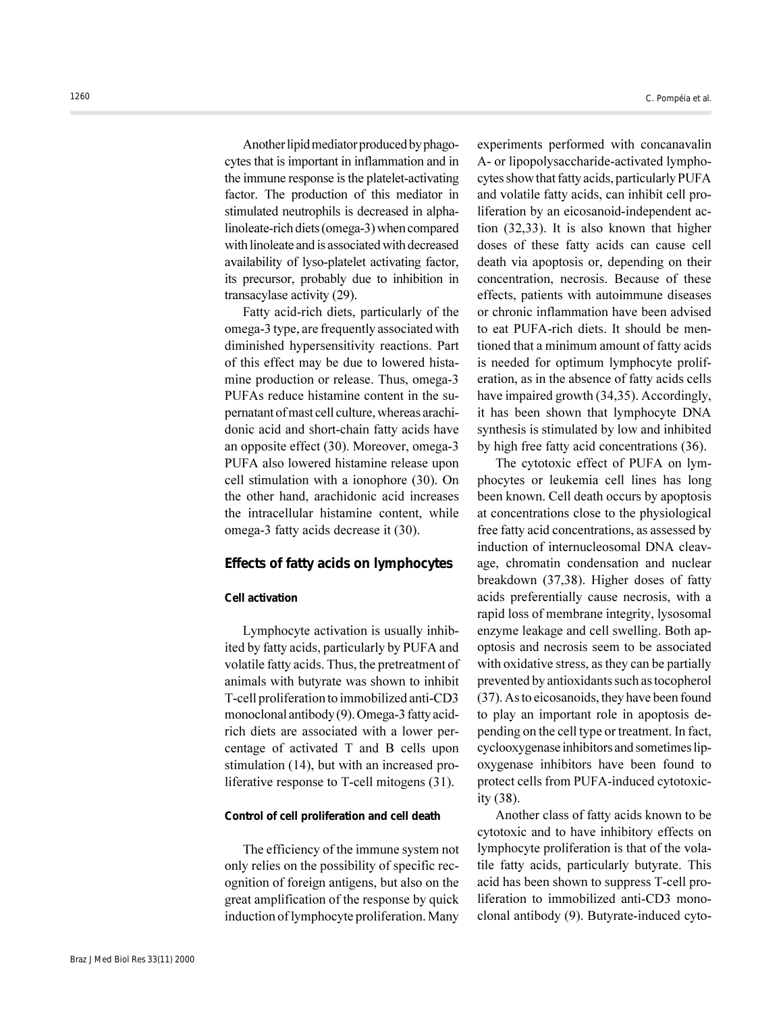Another lipid mediator produced by phagocytes that is important in inflammation and in the immune response is the platelet-activating factor. The production of this mediator in stimulated neutrophils is decreased in alphalinoleate-rich diets (omega-3) when compared with linoleate and is associated with decreased availability of lyso-platelet activating factor, its precursor, probably due to inhibition in transacylase activity (29).

Fatty acid-rich diets, particularly of the omega-3 type, are frequently associated with diminished hypersensitivity reactions. Part of this effect may be due to lowered histamine production or release. Thus, omega-3 PUFAs reduce histamine content in the supernatant of mast cell culture, whereas arachidonic acid and short-chain fatty acids have an opposite effect (30). Moreover, omega-3 PUFA also lowered histamine release upon cell stimulation with a ionophore (30). On the other hand, arachidonic acid increases the intracellular histamine content, while omega-3 fatty acids decrease it (30).

## **Effects of fatty acids on lymphocytes**

#### **Cell activation**

Lymphocyte activation is usually inhibited by fatty acids, particularly by PUFA and volatile fatty acids. Thus, the pretreatment of animals with butyrate was shown to inhibit T-cell proliferation to immobilized anti-CD3 monoclonal antibody (9). Omega-3 fatty acidrich diets are associated with a lower percentage of activated T and B cells upon stimulation (14), but with an increased proliferative response to T-cell mitogens (31).

## **Control of cell proliferation and cell death**

The efficiency of the immune system not only relies on the possibility of specific recognition of foreign antigens, but also on the great amplification of the response by quick induction of lymphocyte proliferation. Many experiments performed with concanavalin A- or lipopolysaccharide-activated lymphocytes show that fatty acids, particularly PUFA and volatile fatty acids, can inhibit cell proliferation by an eicosanoid-independent action (32,33). It is also known that higher doses of these fatty acids can cause cell death via apoptosis or, depending on their concentration, necrosis. Because of these effects, patients with autoimmune diseases or chronic inflammation have been advised to eat PUFA-rich diets. It should be mentioned that a minimum amount of fatty acids is needed for optimum lymphocyte proliferation, as in the absence of fatty acids cells have impaired growth (34,35). Accordingly, it has been shown that lymphocyte DNA synthesis is stimulated by low and inhibited by high free fatty acid concentrations (36).

The cytotoxic effect of PUFA on lymphocytes or leukemia cell lines has long been known. Cell death occurs by apoptosis at concentrations close to the physiological free fatty acid concentrations, as assessed by induction of internucleosomal DNA cleavage, chromatin condensation and nuclear breakdown (37,38). Higher doses of fatty acids preferentially cause necrosis, with a rapid loss of membrane integrity, lysosomal enzyme leakage and cell swelling. Both apoptosis and necrosis seem to be associated with oxidative stress, as they can be partially prevented by antioxidants such as tocopherol (37). As to eicosanoids, they have been found to play an important role in apoptosis depending on the cell type or treatment. In fact, cyclooxygenase inhibitors and sometimes lipoxygenase inhibitors have been found to protect cells from PUFA-induced cytotoxicity (38).

Another class of fatty acids known to be cytotoxic and to have inhibitory effects on lymphocyte proliferation is that of the volatile fatty acids, particularly butyrate. This acid has been shown to suppress T-cell proliferation to immobilized anti-CD3 monoclonal antibody (9). Butyrate-induced cyto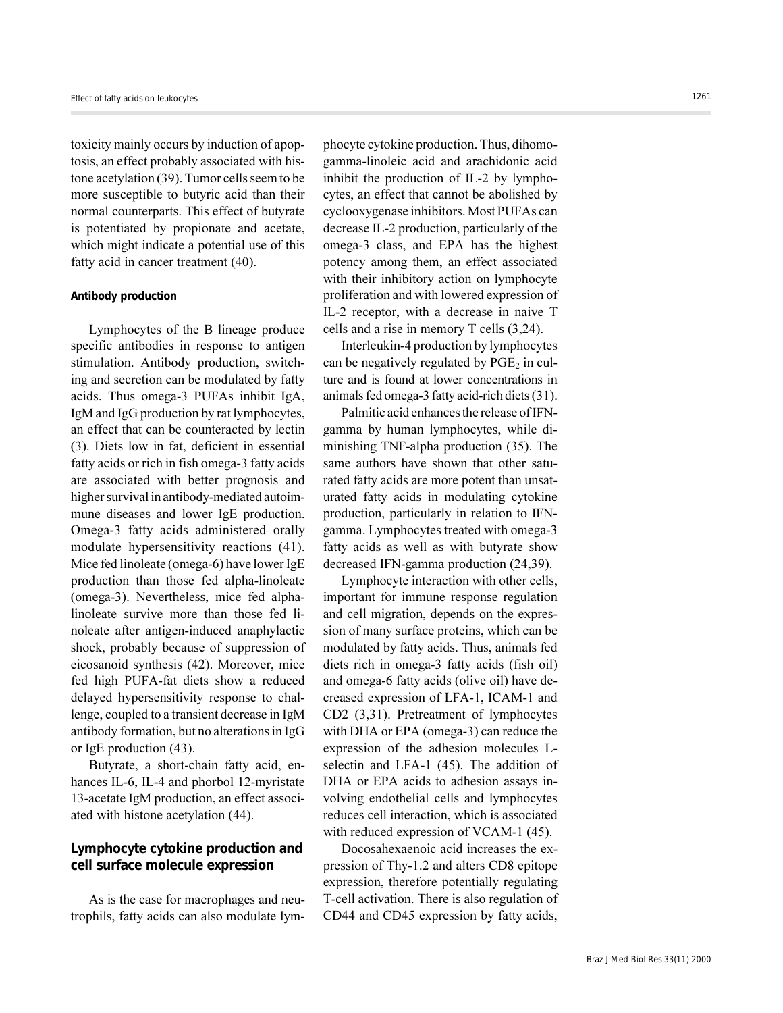toxicity mainly occurs by induction of apoptosis, an effect probably associated with histone acetylation (39). Tumor cells seem to be more susceptible to butyric acid than their normal counterparts. This effect of butyrate is potentiated by propionate and acetate, which might indicate a potential use of this fatty acid in cancer treatment (40).

### **Antibody production**

Lymphocytes of the B lineage produce specific antibodies in response to antigen stimulation. Antibody production, switching and secretion can be modulated by fatty acids. Thus omega-3 PUFAs inhibit IgA, IgM and IgG production by rat lymphocytes, an effect that can be counteracted by lectin (3). Diets low in fat, deficient in essential fatty acids or rich in fish omega-3 fatty acids are associated with better prognosis and higher survival in antibody-mediated autoimmune diseases and lower IgE production. Omega-3 fatty acids administered orally modulate hypersensitivity reactions (41). Mice fed linoleate (omega-6) have lower IgE production than those fed alpha-linoleate (omega-3). Nevertheless, mice fed alphalinoleate survive more than those fed linoleate after antigen-induced anaphylactic shock, probably because of suppression of eicosanoid synthesis (42). Moreover, mice fed high PUFA-fat diets show a reduced delayed hypersensitivity response to challenge, coupled to a transient decrease in IgM antibody formation, but no alterations in IgG or IgE production (43).

Butyrate, a short-chain fatty acid, enhances IL-6, IL-4 and phorbol 12-myristate 13-acetate IgM production, an effect associated with histone acetylation (44).

# **Lymphocyte cytokine production and cell surface molecule expression**

As is the case for macrophages and neutrophils, fatty acids can also modulate lymphocyte cytokine production. Thus, dihomogamma-linoleic acid and arachidonic acid inhibit the production of IL-2 by lymphocytes, an effect that cannot be abolished by cyclooxygenase inhibitors. Most PUFAs can decrease IL-2 production, particularly of the omega-3 class, and EPA has the highest potency among them, an effect associated with their inhibitory action on lymphocyte proliferation and with lowered expression of IL-2 receptor, with a decrease in naive T cells and a rise in memory T cells (3,24).

Interleukin-4 production by lymphocytes can be negatively regulated by  $PGE<sub>2</sub>$  in culture and is found at lower concentrations in animals fed omega-3 fatty acid-rich diets (31).

Palmitic acid enhances the release of IFNgamma by human lymphocytes, while diminishing TNF-alpha production (35). The same authors have shown that other saturated fatty acids are more potent than unsaturated fatty acids in modulating cytokine production, particularly in relation to IFNgamma. Lymphocytes treated with omega-3 fatty acids as well as with butyrate show decreased IFN-gamma production (24,39).

Lymphocyte interaction with other cells, important for immune response regulation and cell migration, depends on the expression of many surface proteins, which can be modulated by fatty acids. Thus, animals fed diets rich in omega-3 fatty acids (fish oil) and omega-6 fatty acids (olive oil) have decreased expression of LFA-1, ICAM-1 and CD2 (3,31). Pretreatment of lymphocytes with DHA or EPA (omega-3) can reduce the expression of the adhesion molecules Lselectin and LFA-1 (45). The addition of DHA or EPA acids to adhesion assays involving endothelial cells and lymphocytes reduces cell interaction, which is associated with reduced expression of VCAM-1 (45).

Docosahexaenoic acid increases the expression of Thy-1.2 and alters CD8 epitope expression, therefore potentially regulating T-cell activation. There is also regulation of CD44 and CD45 expression by fatty acids,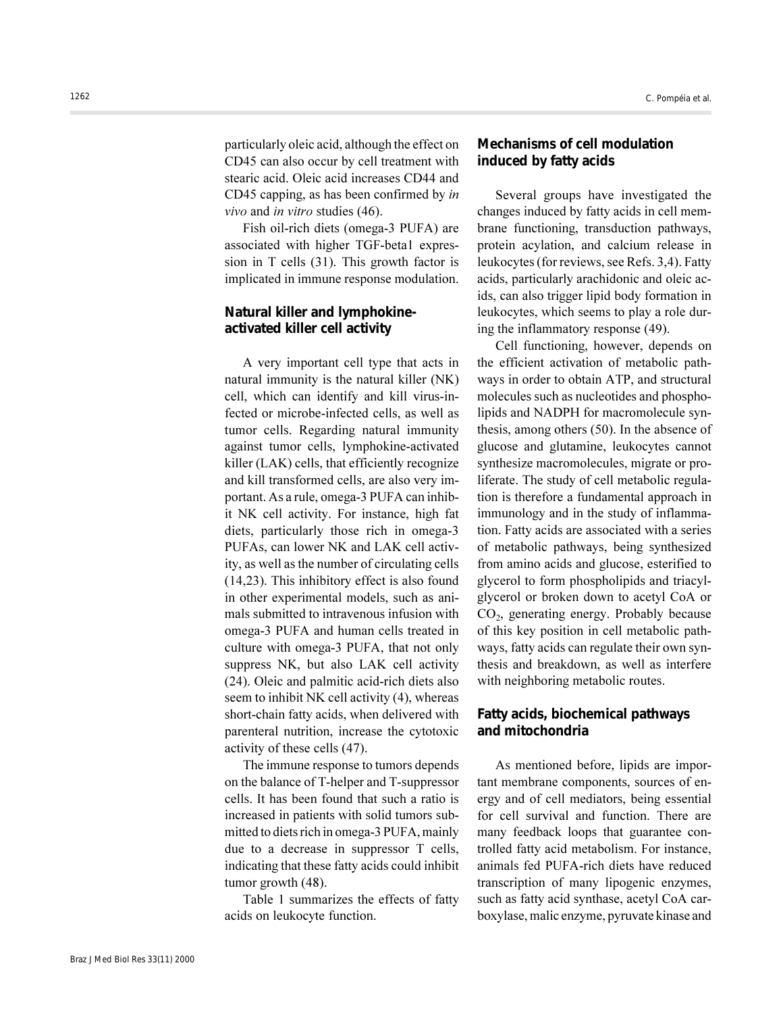particularly oleic acid, although the effect on CD45 can also occur by cell treatment with stearic acid. Oleic acid increases CD44 and CD45 capping, as has been confirmed by *in vivo* and *in vitro* studies (46).

Fish oil-rich diets (omega-3 PUFA) are associated with higher TGF-beta1 expression in T cells (31). This growth factor is implicated in immune response modulation.

# **Natural killer and lymphokineactivated killer cell activity**

A very important cell type that acts in natural immunity is the natural killer (NK) cell, which can identify and kill virus-infected or microbe-infected cells, as well as tumor cells. Regarding natural immunity against tumor cells, lymphokine-activated killer (LAK) cells, that efficiently recognize and kill transformed cells, are also very important. As a rule, omega-3 PUFA can inhibit NK cell activity. For instance, high fat diets, particularly those rich in omega-3 PUFAs, can lower NK and LAK cell activity, as well as the number of circulating cells (14,23). This inhibitory effect is also found in other experimental models, such as animals submitted to intravenous infusion with omega-3 PUFA and human cells treated in culture with omega-3 PUFA, that not only suppress NK, but also LAK cell activity (24). Oleic and palmitic acid-rich diets also seem to inhibit NK cell activity (4), whereas short-chain fatty acids, when delivered with parenteral nutrition, increase the cytotoxic activity of these cells (47).

The immune response to tumors depends on the balance of T-helper and T-suppressor cells. It has been found that such a ratio is increased in patients with solid tumors submitted to diets rich in omega-3 PUFA, mainly due to a decrease in suppressor T cells, indicating that these fatty acids could inhibit tumor growth (48).

Table 1 summarizes the effects of fatty acids on leukocyte function.

# **Mechanisms of cell modulation induced by fatty acids**

Several groups have investigated the changes induced by fatty acids in cell membrane functioning, transduction pathways, protein acylation, and calcium release in leukocytes (for reviews, see Refs. 3,4). Fatty acids, particularly arachidonic and oleic acids, can also trigger lipid body formation in leukocytes, which seems to play a role during the inflammatory response (49).

Cell functioning, however, depends on the efficient activation of metabolic pathways in order to obtain ATP, and structural molecules such as nucleotides and phospholipids and NADPH for macromolecule synthesis, among others (50). In the absence of glucose and glutamine, leukocytes cannot synthesize macromolecules, migrate or proliferate. The study of cell metabolic regulation is therefore a fundamental approach in immunology and in the study of inflammation. Fatty acids are associated with a series of metabolic pathways, being synthesized from amino acids and glucose, esterified to glycerol to form phospholipids and triacylglycerol or broken down to acetyl CoA or  $CO<sub>2</sub>$ , generating energy. Probably because of this key position in cell metabolic pathways, fatty acids can regulate their own synthesis and breakdown, as well as interfere with neighboring metabolic routes.

# **Fatty acids, biochemical pathways and mitochondria**

As mentioned before, lipids are important membrane components, sources of energy and of cell mediators, being essential for cell survival and function. There are many feedback loops that guarantee controlled fatty acid metabolism. For instance, animals fed PUFA-rich diets have reduced transcription of many lipogenic enzymes, such as fatty acid synthase, acetyl CoA carboxylase, malic enzyme, pyruvate kinase and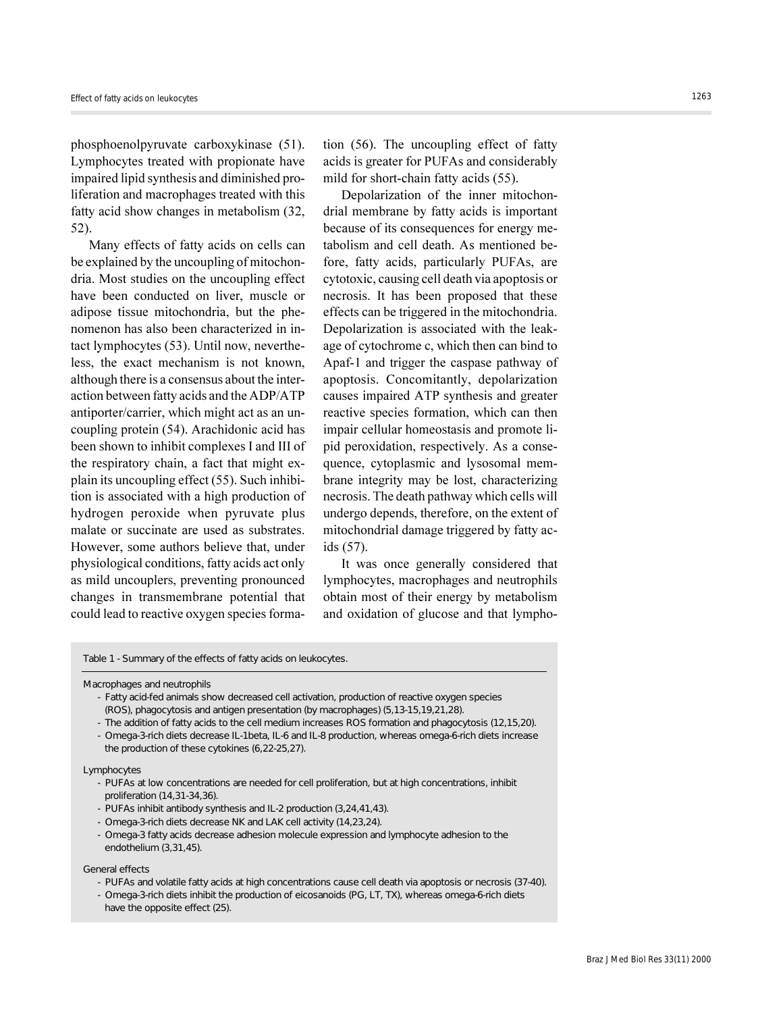phosphoenolpyruvate carboxykinase (51). Lymphocytes treated with propionate have impaired lipid synthesis and diminished proliferation and macrophages treated with this fatty acid show changes in metabolism (32, 52).

Many effects of fatty acids on cells can be explained by the uncoupling of mitochondria. Most studies on the uncoupling effect have been conducted on liver, muscle or adipose tissue mitochondria, but the phenomenon has also been characterized in intact lymphocytes (53). Until now, nevertheless, the exact mechanism is not known, although there is a consensus about the interaction between fatty acids and the ADP/ATP antiporter/carrier, which might act as an uncoupling protein (54). Arachidonic acid has been shown to inhibit complexes I and III of the respiratory chain, a fact that might explain its uncoupling effect (55). Such inhibition is associated with a high production of hydrogen peroxide when pyruvate plus malate or succinate are used as substrates. However, some authors believe that, under physiological conditions, fatty acids act only as mild uncouplers, preventing pronounced changes in transmembrane potential that could lead to reactive oxygen species formation (56). The uncoupling effect of fatty acids is greater for PUFAs and considerably mild for short-chain fatty acids (55).

Depolarization of the inner mitochondrial membrane by fatty acids is important because of its consequences for energy metabolism and cell death. As mentioned before, fatty acids, particularly PUFAs, are cytotoxic, causing cell death via apoptosis or necrosis. It has been proposed that these effects can be triggered in the mitochondria. Depolarization is associated with the leakage of cytochrome c, which then can bind to Apaf-1 and trigger the caspase pathway of apoptosis. Concomitantly, depolarization causes impaired ATP synthesis and greater reactive species formation, which can then impair cellular homeostasis and promote lipid peroxidation, respectively. As a consequence, cytoplasmic and lysosomal membrane integrity may be lost, characterizing necrosis. The death pathway which cells will undergo depends, therefore, on the extent of mitochondrial damage triggered by fatty acids (57).

It was once generally considered that lymphocytes, macrophages and neutrophils obtain most of their energy by metabolism and oxidation of glucose and that lympho-

Table 1 - Summary of the effects of fatty acids on leukocytes.

Macrophages and neutrophils

- Fatty acid-fed animals show decreased cell activation, production of reactive oxygen species (ROS), phagocytosis and antigen presentation (by macrophages) (5,13-15,19,21,28).
- The addition of fatty acids to the cell medium increases ROS formation and phagocytosis (12,15,20).
- Omega-3-rich diets decrease IL-1beta, IL-6 and IL-8 production, whereas omega-6-rich diets increase the production of these cytokines (6,22-25,27).

Lymphocytes

- PUFAs at low concentrations are needed for cell proliferation, but at high concentrations, inhibit proliferation (14,31-34,36).
- PUFAs inhibit antibody synthesis and IL-2 production (3,24,41,43).
- Omega-3-rich diets decrease NK and LAK cell activity (14,23,24).
- Omega-3 fatty acids decrease adhesion molecule expression and lymphocyte adhesion to the endothelium (3,31,45).

General effects

- PUFAs and volatile fatty acids at high concentrations cause cell death via apoptosis or necrosis (37-40).
- Omega-3-rich diets inhibit the production of eicosanoids (PG, LT, TX), whereas omega-6-rich diets have the opposite effect (25).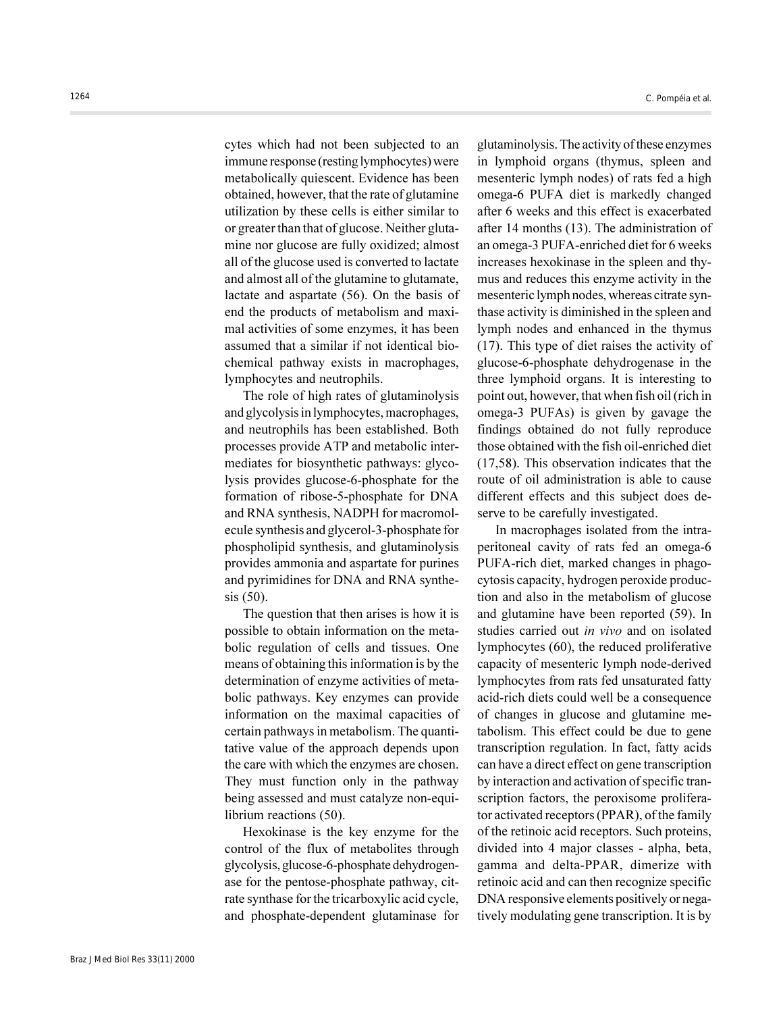cytes which had not been subjected to an immune response (resting lymphocytes) were metabolically quiescent. Evidence has been obtained, however, that the rate of glutamine utilization by these cells is either similar to or greater than that of glucose. Neither glutamine nor glucose are fully oxidized; almost all of the glucose used is converted to lactate and almost all of the glutamine to glutamate, lactate and aspartate (56). On the basis of end the products of metabolism and maximal activities of some enzymes, it has been assumed that a similar if not identical biochemical pathway exists in macrophages, lymphocytes and neutrophils.

The role of high rates of glutaminolysis and glycolysis in lymphocytes, macrophages, and neutrophils has been established. Both processes provide ATP and metabolic intermediates for biosynthetic pathways: glycolysis provides glucose-6-phosphate for the formation of ribose-5-phosphate for DNA and RNA synthesis, NADPH for macromolecule synthesis and glycerol-3-phosphate for phospholipid synthesis, and glutaminolysis provides ammonia and aspartate for purines and pyrimidines for DNA and RNA synthesis (50).

The question that then arises is how it is possible to obtain information on the metabolic regulation of cells and tissues. One means of obtaining this information is by the determination of enzyme activities of metabolic pathways. Key enzymes can provide information on the maximal capacities of certain pathways in metabolism. The quantitative value of the approach depends upon the care with which the enzymes are chosen. They must function only in the pathway being assessed and must catalyze non-equilibrium reactions (50).

Hexokinase is the key enzyme for the control of the flux of metabolites through glycolysis, glucose-6-phosphate dehydrogenase for the pentose-phosphate pathway, citrate synthase for the tricarboxylic acid cycle, and phosphate-dependent glutaminase for glutaminolysis. The activity of these enzymes in lymphoid organs (thymus, spleen and mesenteric lymph nodes) of rats fed a high omega-6 PUFA diet is markedly changed after 6 weeks and this effect is exacerbated after 14 months (13). The administration of an omega-3 PUFA-enriched diet for 6 weeks increases hexokinase in the spleen and thymus and reduces this enzyme activity in the mesenteric lymph nodes, whereas citrate synthase activity is diminished in the spleen and lymph nodes and enhanced in the thymus (17). This type of diet raises the activity of glucose-6-phosphate dehydrogenase in the three lymphoid organs. It is interesting to point out, however, that when fish oil (rich in omega-3 PUFAs) is given by gavage the findings obtained do not fully reproduce those obtained with the fish oil-enriched diet (17,58). This observation indicates that the route of oil administration is able to cause different effects and this subject does deserve to be carefully investigated.

In macrophages isolated from the intraperitoneal cavity of rats fed an omega-6 PUFA-rich diet, marked changes in phagocytosis capacity, hydrogen peroxide production and also in the metabolism of glucose and glutamine have been reported (59). In studies carried out *in vivo* and on isolated lymphocytes (60), the reduced proliferative capacity of mesenteric lymph node-derived lymphocytes from rats fed unsaturated fatty acid-rich diets could well be a consequence of changes in glucose and glutamine metabolism. This effect could be due to gene transcription regulation. In fact, fatty acids can have a direct effect on gene transcription by interaction and activation of specific transcription factors, the peroxisome proliferator activated receptors (PPAR), of the family of the retinoic acid receptors. Such proteins, divided into 4 major classes - alpha, beta, gamma and delta-PPAR, dimerize with retinoic acid and can then recognize specific DNA responsive elements positively or negatively modulating gene transcription. It is by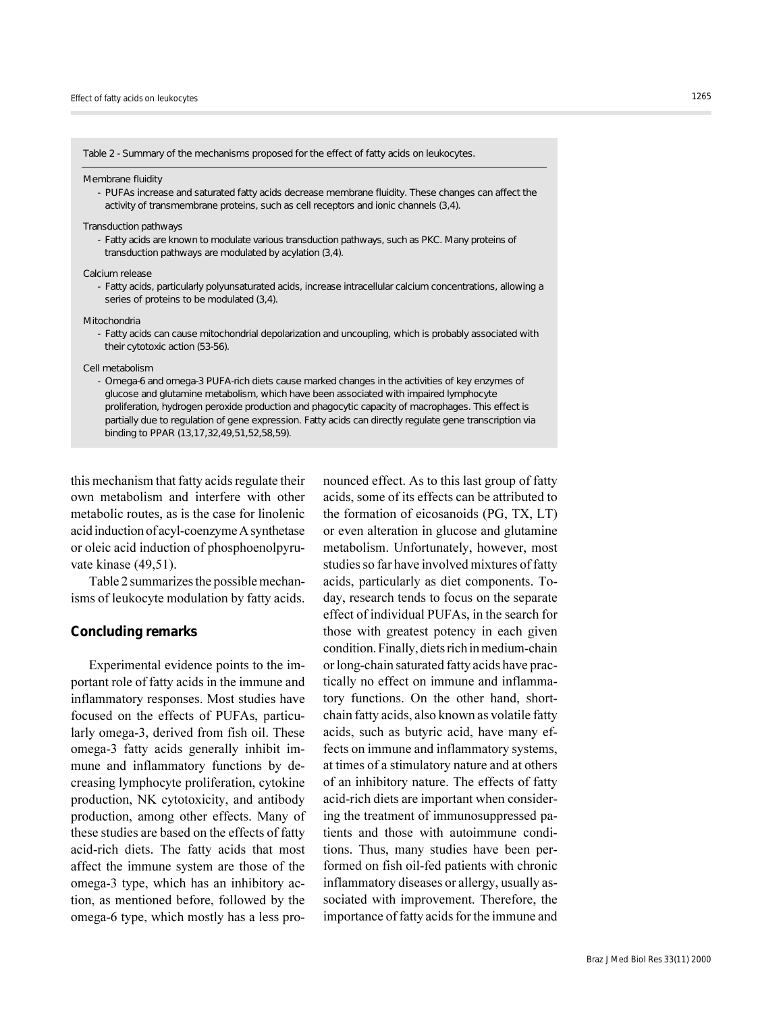Table 2 - Summary of the mechanisms proposed for the effect of fatty acids on leukocytes.

Membrane fluidity

- PUFAs increase and saturated fatty acids decrease membrane fluidity. These changes can affect the activity of transmembrane proteins, such as cell receptors and ionic channels (3,4).

Transduction pathways

- Fatty acids are known to modulate various transduction pathways, such as PKC. Many proteins of transduction pathways are modulated by acylation (3,4).

Calcium release

- Fatty acids, particularly polyunsaturated acids, increase intracellular calcium concentrations, allowing a series of proteins to be modulated (3,4).

**Mitochondria** 

- Fatty acids can cause mitochondrial depolarization and uncoupling, which is probably associated with their cytotoxic action (53-56).

Cell metabolism

- Omega-6 and omega-3 PUFA-rich diets cause marked changes in the activities of key enzymes of glucose and glutamine metabolism, which have been associated with impaired lymphocyte proliferation, hydrogen peroxide production and phagocytic capacity of macrophages. This effect is partially due to regulation of gene expression. Fatty acids can directly regulate gene transcription via binding to PPAR (13,17,32,49,51,52,58,59).

this mechanism that fatty acids regulate their own metabolism and interfere with other metabolic routes, as is the case for linolenic acid induction of acyl-coenzyme A synthetase or oleic acid induction of phosphoenolpyruvate kinase (49,51).

Table 2 summarizes the possible mechanisms of leukocyte modulation by fatty acids.

## **Concluding remarks**

Experimental evidence points to the important role of fatty acids in the immune and inflammatory responses. Most studies have focused on the effects of PUFAs, particularly omega-3, derived from fish oil. These omega-3 fatty acids generally inhibit immune and inflammatory functions by decreasing lymphocyte proliferation, cytokine production, NK cytotoxicity, and antibody production, among other effects. Many of these studies are based on the effects of fatty acid-rich diets. The fatty acids that most affect the immune system are those of the omega-3 type, which has an inhibitory action, as mentioned before, followed by the omega-6 type, which mostly has a less pronounced effect. As to this last group of fatty acids, some of its effects can be attributed to the formation of eicosanoids (PG, TX, LT) or even alteration in glucose and glutamine metabolism. Unfortunately, however, most studies so far have involved mixtures of fatty acids, particularly as diet components. Today, research tends to focus on the separate effect of individual PUFAs, in the search for those with greatest potency in each given condition. Finally, diets rich in medium-chain or long-chain saturated fatty acids have practically no effect on immune and inflammatory functions. On the other hand, shortchain fatty acids, also known as volatile fatty acids, such as butyric acid, have many effects on immune and inflammatory systems, at times of a stimulatory nature and at others of an inhibitory nature. The effects of fatty acid-rich diets are important when considering the treatment of immunosuppressed patients and those with autoimmune conditions. Thus, many studies have been performed on fish oil-fed patients with chronic inflammatory diseases or allergy, usually associated with improvement. Therefore, the importance of fatty acids for the immune and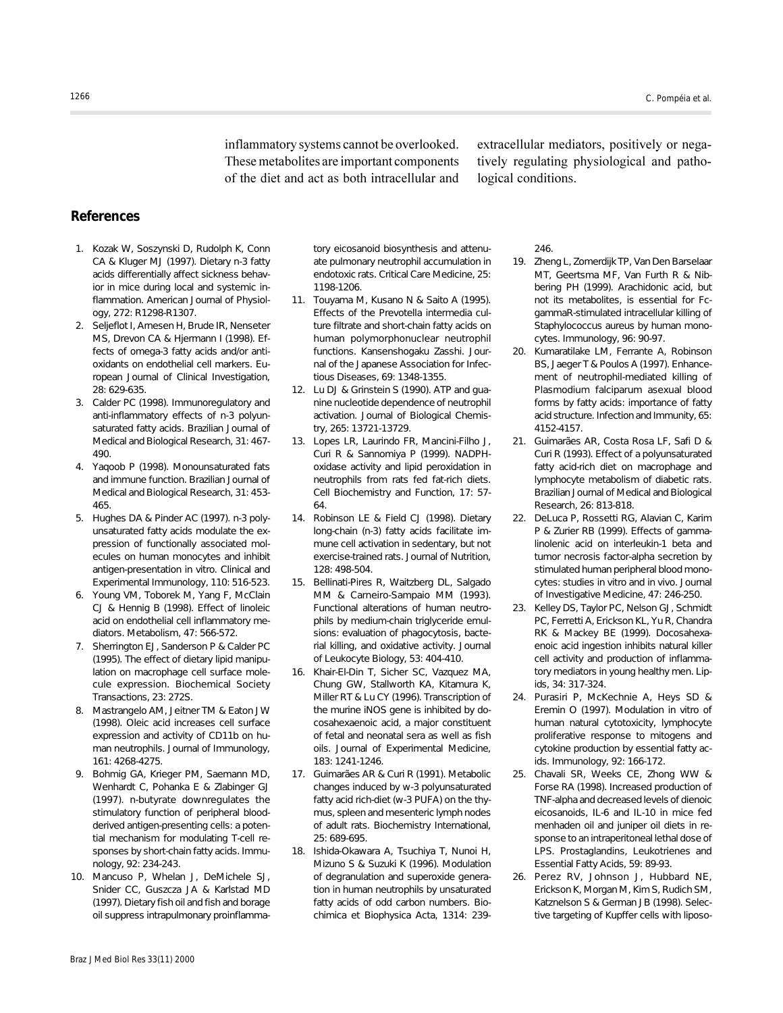inflammatory systems cannot be overlooked. These metabolites are important components of the diet and act as both intracellular and extracellular mediators, positively or negatively regulating physiological and pathological conditions.

## **References**

- 1. Kozak W, Soszynski D, Rudolph K, Conn CA & Kluger MJ (1997). Dietary n-3 fatty acids differentially affect sickness behavior in mice during local and systemic inflammation. *American Journal of Physiology*, 272: R1298-R1307.
- 2. Seljeflot I, Arnesen H, Brude IR, Nenseter MS, Drevon CA & Hjermann I (1998). Effects of omega-3 fatty acids and/or antioxidants on endothelial cell markers. *European Journal of Clinical Investigation*, 28: 629-635.
- 3. Calder PC (1998). Immunoregulatory and anti-inflammatory effects of n-3 polyunsaturated fatty acids. *Brazilian Journal of Medical and Biological Research*, 31: 467- 490.
- 4. Yaqoob P (1998). Monounsaturated fats and immune function. *Brazilian Journal of Medical and Biological Research*, 31: 453- 465.
- 5. Hughes DA & Pinder AC (1997). n-3 polyunsaturated fatty acids modulate the expression of functionally associated molecules on human monocytes and inhibit antigen-presentation *in vitro*. *Clinical and Experimental Immunology*, 110: 516-523.
- 6. Young VM, Toborek M, Yang F, McClain CJ & Hennig B (1998). Effect of linoleic acid on endothelial cell inflammatory mediators. *Metabolism*, 47: 566-572.
- 7. Sherrington EJ, Sanderson P & Calder PC (1995). The effect of dietary lipid manipulation on macrophage cell surface molecule expression*. Biochemical Society Transactions*, 23: 272S.
- Mastrangelo AM, Jeitner TM & Eaton JW (1998). Oleic acid increases cell surface expression and activity of CD11b on human neutrophils. *Journal of Immunology*, 161: 4268-4275.
- 9. Bohmig GA, Krieger PM, Saemann MD, Wenhardt C, Pohanka E & Zlabinger GJ (1997). n-butyrate downregulates the stimulatory function of peripheral bloodderived antigen-presenting cells: a potential mechanism for modulating T-cell responses by short-chain fatty acids. *Immunology*, 92: 234-243.
- 10. Mancuso P, Whelan J, DeMichele SJ, Snider CC, Guszcza JA & Karlstad MD (1997). Dietary fish oil and fish and borage oil suppress intrapulmonary proinflamma-

tory eicosanoid biosynthesis and attenuate pulmonary neutrophil accumulation in endotoxic rats. *Critical Care Medicine*, 25: 1198-1206.

- 11. Touyama M, Kusano N & Saito A (1995). Effects of the *Prevotella intermedia* culture filtrate and short-chain fatty acids on human polymorphonuclear neutrophil functions. *Kansenshogaku Zasshi. Journal of the Japanese Association for Infectious Diseases*, 69: 1348-1355.
- 12. Lu DJ & Grinstein S (1990). ATP and guanine nucleotide dependence of neutrophil activation. *Journal of Biological Chemistry*, 265: 13721-13729.
- 13. Lopes LR, Laurindo FR, Mancini-Filho J, Curi R & Sannomiya P (1999). NADPHoxidase activity and lipid peroxidation in neutrophils from rats fed fat-rich diets. *Cell Biochemistry and Function*, 17: 57- 64.
- 14. Robinson LE & Field CJ (1998). Dietary long-chain (n-3) fatty acids facilitate immune cell activation in sedentary, but not exercise-trained rats. *Journal of Nutrition*, 128: 498-504.
- 15. Bellinati-Pires R, Waitzberg DL, Salgado MM & Carneiro-Sampaio MM (1993). Functional alterations of human neutrophils by medium-chain triglyceride emulsions: evaluation of phagocytosis, bacterial killing, and oxidative activity. *Journal of Leukocyte Biology*, 53: 404-410.
- 16. Khair-El-Din T, Sicher SC, Vazquez MA, Chung GW, Stallworth KA, Kitamura K, Miller RT & Lu CY (1996). Transcription of the murine iNOS gene is inhibited by docosahexaenoic acid, a major constituent of fetal and neonatal sera as well as fish oils. *Journal of Experimental Medicine*, 183: 1241-1246.
- 17. Guimarães AR & Curi R (1991). Metabolic changes induced by w-3 polyunsaturated fatty acid rich-diet (w-3 PUFA) on the thymus, spleen and mesenteric lymph nodes of adult rats. *Biochemistry International*, 25: 689-695.
- 18. Ishida-Okawara A, Tsuchiya T, Nunoi H, Mizuno S & Suzuki K (1996). Modulation of degranulation and superoxide generation in human neutrophils by unsaturated fatty acids of odd carbon numbers. *Biochimica et Biophysica Acta*, 1314: 239-

246.

- 19. Zheng L, Zomerdijk TP, Van Den Barselaar MT, Geertsma MF, Van Furth R & Nibbering PH (1999). Arachidonic acid, but not its metabolites, is essential for FcgammaR-stimulated intracellular killing of *Staphylococcus aureus* by human monocytes. *Immunology*, 96: 90-97.
- 20. Kumaratilake LM, Ferrante A, Robinson BS, Jaeger T & Poulos A (1997). Enhancement of neutrophil-mediated killing of *Plasmodium falciparum* asexual blood forms by fatty acids: importance of fatty acid structure. *Infection and Immunity*, 65: 4152-4157.
- 21. Guimarães AR, Costa Rosa LF, Safi D & Curi R (1993). Effect of a polyunsaturated fatty acid-rich diet on macrophage and lymphocyte metabolism of diabetic rats. *Brazilian Journal of Medical and Biological Research*, 26: 813-818.
- 22. DeLuca P, Rossetti RG, Alavian C, Karim P & Zurier RB (1999). Effects of gammalinolenic acid on interleukin-1 beta and tumor necrosis factor-alpha secretion by stimulated human peripheral blood monocytes: studies *in vitro* and *in vivo*. *Journal of Investigative Medicine*, 47: 246-250.
- 23. Kelley DS, Taylor PC, Nelson GJ, Schmidt PC, Ferretti A, Erickson KL, Yu R, Chandra RK & Mackey BE (1999). Docosahexaenoic acid ingestion inhibits natural killer cell activity and production of inflammatory mediators in young healthy men. *Lipids*, 34: 317-324.
- 24. Purasiri P, McKechnie A, Heys SD & Eremin O (1997). Modulation *in vitro* of human natural cytotoxicity, lymphocyte proliferative response to mitogens and cytokine production by essential fatty acids. *Immunology*, 92: 166-172.
- 25. Chavali SR, Weeks CE, Zhong WW & Forse RA (1998). Increased production of TNF-alpha and decreased levels of dienoic eicosanoids, IL-6 and IL-10 in mice fed menhaden oil and juniper oil diets in response to an intraperitoneal lethal dose of LPS. *Prostaglandins, Leukotrienes and Essential Fatty Acids*, 59: 89-93.
- 26. Perez RV, Johnson J, Hubbard NE, Erickson K, Morgan M, Kim S, Rudich SM, Katznelson S & German JB (1998). Selective targeting of Kupffer cells with liposo-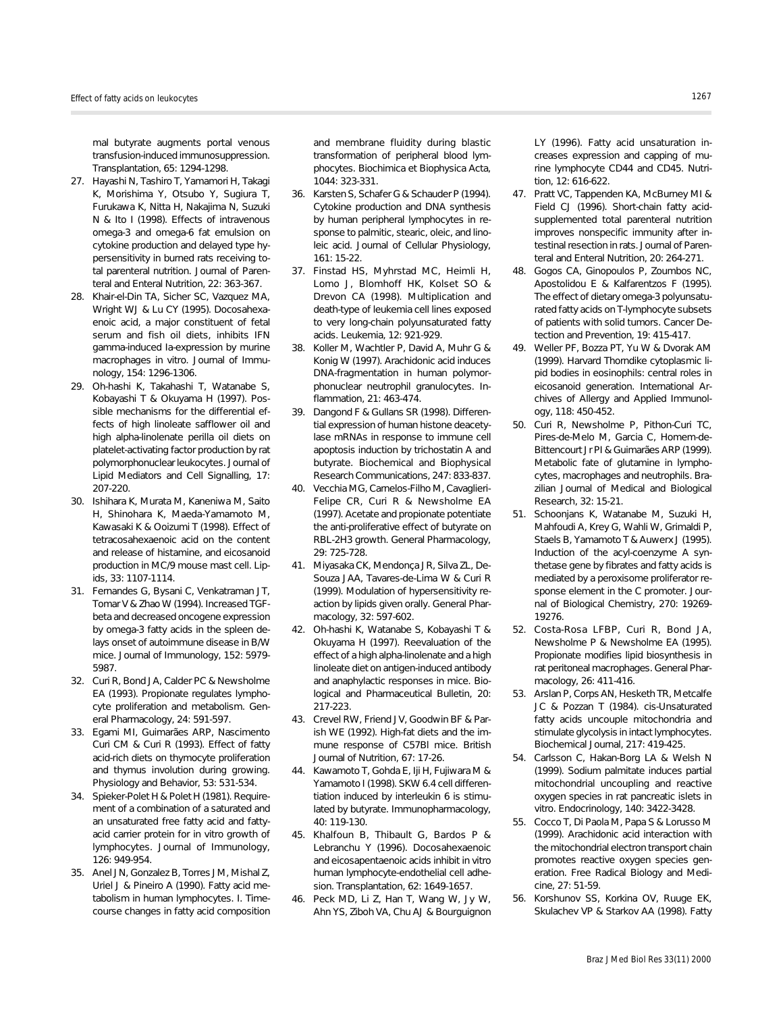mal butyrate augments portal venous transfusion-induced immunosuppression. *Transplantation*, 65: 1294-1298.

- 27. Hayashi N, Tashiro T, Yamamori H, Takagi K, Morishima Y, Otsubo Y, Sugiura T, Furukawa K, Nitta H, Nakajima N, Suzuki N & Ito I (1998). Effects of intravenous omega-3 and omega-6 fat emulsion on cytokine production and delayed type hypersensitivity in burned rats receiving total parenteral nutrition. *Journal of Parenteral and Enteral Nutrition*, 22: 363-367.
- 28. Khair-el-Din TA, Sicher SC, Vazquez MA, Wright WJ & Lu CY (1995). Docosahexaenoic acid, a major constituent of fetal serum and fish oil diets, inhibits IFN gamma-induced Ia-expression by murine macrophages *in vitro*. *Journal of Immunology*, 154: 1296-1306.
- 29. Oh-hashi K, Takahashi T, Watanabe S, Kobayashi T & Okuyama H (1997). Possible mechanisms for the differential effects of high linoleate safflower oil and high alpha-linolenate perilla oil diets on platelet-activating factor production by rat polymorphonuclear leukocytes. *Journal of Lipid Mediators and Cell Signalling*, 17: 207-220.
- 30. Ishihara K, Murata M, Kaneniwa M, Saito H, Shinohara K, Maeda-Yamamoto M, Kawasaki K & Ooizumi T (1998). Effect of tetracosahexaenoic acid on the content and release of histamine, and eicosanoid production in MC/9 mouse mast cell. *Lipids*, 33: 1107-1114.
- 31. Fernandes G, Bysani C, Venkatraman JT, Tomar V & Zhao W (1994). Increased TGFbeta and decreased oncogene expression by omega-3 fatty acids in the spleen delays onset of autoimmune disease in B/W mice. *Journal of Immunology*, 152: 5979- 5987.
- 32. Curi R, Bond JA, Calder PC & Newsholme EA (1993). Propionate regulates lymphocyte proliferation and metabolism. *General Pharmacology*, 24: 591-597.
- 33. Egami MI, Guimarães ARP, Nascimento Curi CM & Curi R (1993). Effect of fatty acid-rich diets on thymocyte proliferation and thymus involution during growing. *Physiology and Behavior*, 53: 531-534.
- 34. Spieker-Polet H & Polet H (1981). Requirement of a combination of a saturated and an unsaturated free fatty acid and fattyacid carrier protein for *in vitro* growth of lymphocytes. *Journal of Immunology*, 126: 949-954.
- 35. Anel JN, Gonzalez B, Torres JM, Mishal Z, Uriel J & Pineiro A (1990). Fatty acid metabolism in human lymphocytes. I. Timecourse changes in fatty acid composition

and membrane fluidity during blastic transformation of peripheral blood lymphocytes. *Biochimica et Biophysica Acta*, 1044: 323-331.

- 36. Karsten S, Schafer G & Schauder P (1994). Cytokine production and DNA synthesis by human peripheral lymphocytes in response to palmitic, stearic, oleic, and linoleic acid. *Journal of Cellular Physiology*, 161: 15-22.
- 37. Finstad HS, Myhrstad MC, Heimli H, Lomo J, Blomhoff HK, Kolset SO & Drevon CA (1998). Multiplication and death-type of leukemia cell lines exposed to very long-chain polyunsaturated fatty acids. *Leukemia*, 12: 921-929.
- 38. Koller M, Wachtler P, David A, Muhr G & Konig W (1997). Arachidonic acid induces DNA-fragmentation in human polymorphonuclear neutrophil granulocytes. *Inflammation*, 21: 463-474.
- 39. Dangond F & Gullans SR (1998). Differential expression of human histone deacetylase mRNAs in response to immune cell apoptosis induction by trichostatin A and butyrate. *Biochemical and Biophysical Research Communications*, 247: 833-837.
- 40. Vecchia MG, Carnelos-Filho M, Cavaglieri-Felipe CR, Curi R & Newsholme EA (1997). Acetate and propionate potentiate the anti-proliferative effect of butyrate on RBL-2H3 growth. *General Pharmacology*, 29: 725-728.
- 41. Miyasaka CK, Mendonça JR, Silva ZL, De-Souza JAA, Tavares-de-Lima W & Curi R (1999). Modulation of hypersensitivity reaction by lipids given orally. *General Pharmacology*, 32: 597-602.
- 42. Oh-hashi K, Watanabe S, Kobayashi T & Okuyama H (1997). Reevaluation of the effect of a high alpha-linolenate and a high linoleate diet on antigen-induced antibody and anaphylactic responses in mice. *Biological and Pharmaceutical Bulletin*, 20: 217-223.
- 43. Crevel RW, Friend JV, Goodwin BF & Parish WE (1992). High-fat diets and the immune response of C57Bl mice. *British Journal of Nutrition*, 67: 17-26.
- 44. Kawamoto T, Gohda E, Iji H, Fujiwara M & Yamamoto I (1998). SKW 6.4 cell differentiation induced by interleukin 6 is stimulated by butyrate. *Immunopharmacology*, 40: 119-130.
- 45. Khalfoun B, Thibault G, Bardos P & Lebranchu Y (1996). Docosahexaenoic and eicosapentaenoic acids inhibit *in vitro* human lymphocyte-endothelial cell adhesion. *Transplantation*, 62: 1649-1657.
- 46. Peck MD, Li Z, Han T, Wang W, Jy W, Ahn YS, Ziboh VA, Chu AJ & Bourguignon

LY (1996). Fatty acid unsaturation increases expression and capping of murine lymphocyte CD44 and CD45. *Nutrition*, 12: 616-622.

- 47. Pratt VC, Tappenden KA, McBurney MI & Field CJ (1996). Short-chain fatty acidsupplemented total parenteral nutrition improves nonspecific immunity after intestinal resection in rats. *Journal of Parenteral and Enteral Nutrition*, 20: 264-271.
- 48. Gogos CA, Ginopoulos P, Zoumbos NC, Apostolidou E & Kalfarentzos F (1995). The effect of dietary omega-3 polyunsaturated fatty acids on T-lymphocyte subsets of patients with solid tumors. *Cancer Detection and Prevention*, 19: 415-417.
- 49. Weller PF, Bozza PT, Yu W & Dvorak AM (1999). Harvard Thorndike cytoplasmic lipid bodies in eosinophils: central roles in eicosanoid generation. *International Archives of Allergy and Applied Immunology*, 118: 450-452.
- 50. Curi R, Newsholme P, Pithon-Curi TC, Pires-de-Melo M, Garcia C, Homem-de-Bittencourt Jr PI & Guimarães ARP (1999). Metabolic fate of glutamine in lymphocytes, macrophages and neutrophils. *Brazilian Journal of Medical and Biological Research*, 32: 15-21.
- 51. Schoonjans K, Watanabe M, Suzuki H, Mahfoudi A, Krey G, Wahli W, Grimaldi P, Staels B, Yamamoto T & Auwerx J (1995). Induction of the acyl-coenzyme A synthetase gene by fibrates and fatty acids is mediated by a peroxisome proliferator response element in the C promoter. *Journal of Biological Chemistry*, 270: 19269- 19276.
- 52. Costa-Rosa LFBP, Curi R, Bond JA, Newsholme P & Newsholme EA (1995). Propionate modifies lipid biosynthesis in rat peritoneal macrophages. *General Pharmacology*, 26: 411-416.
- 53. Arslan P, Corps AN, Hesketh TR, Metcalfe JC & Pozzan T (1984). cis-Unsaturated fatty acids uncouple mitochondria and stimulate glycolysis in intact lymphocytes. *Biochemical Journal*, 217: 419-425.
- 54. Carlsson C, Hakan-Borg LA & Welsh N (1999). Sodium palmitate induces partial mitochondrial uncoupling and reactive oxygen species in rat pancreatic islets *in vitro*. *Endocrinology*, 140: 3422-3428.
- 55. Cocco T, Di Paola M, Papa S & Lorusso M (1999). Arachidonic acid interaction with the mitochondrial electron transport chain promotes reactive oxygen species generation. *Free Radical Biology and Medicine*, 27: 51-59.
- 56. Korshunov SS, Korkina OV, Ruuge EK, Skulachev VP & Starkov AA (1998). Fatty

1267